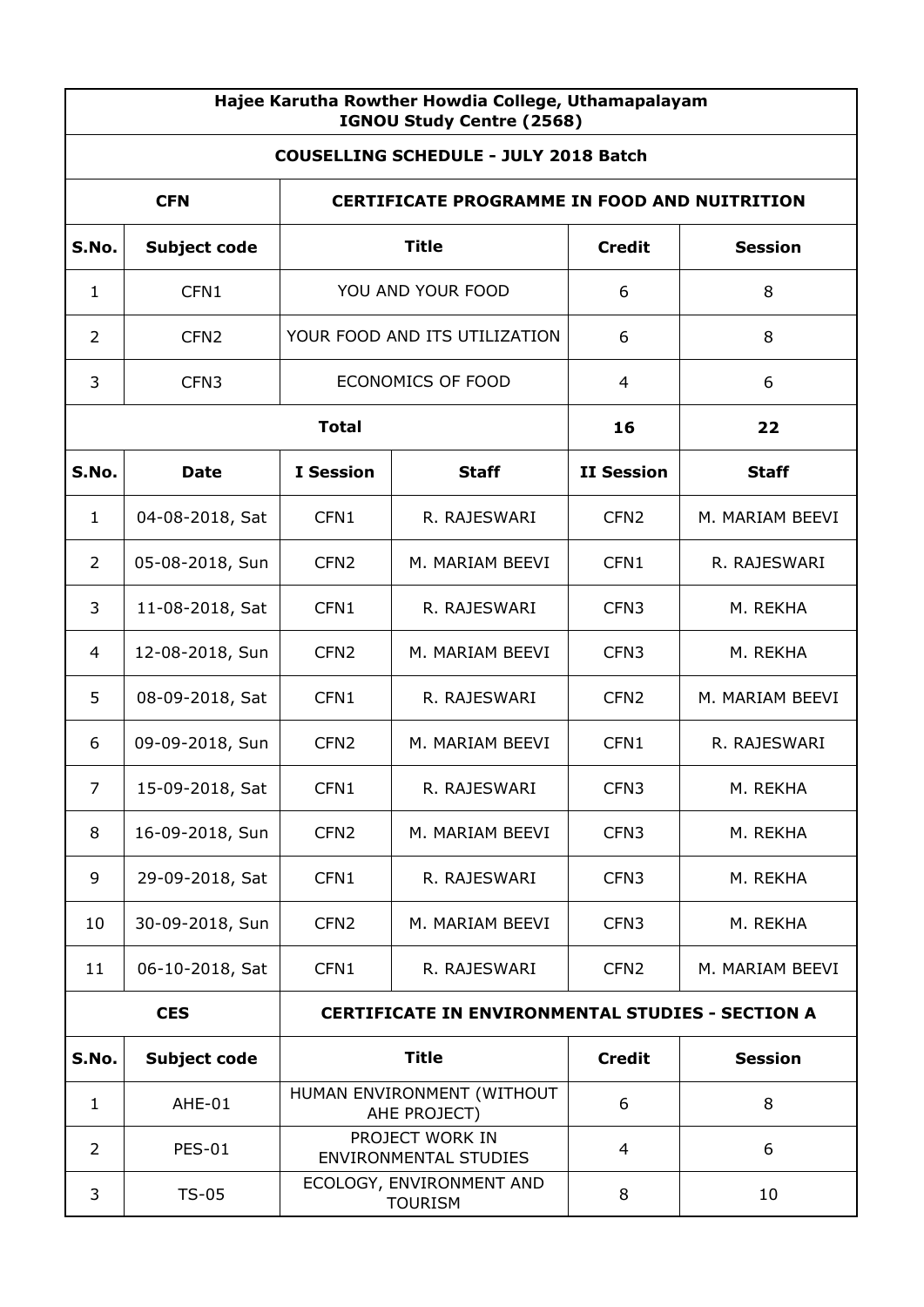| Hajee Karutha Rowther Howdia College, Uthamapalayam<br>IGNOU Study Centre (2568) |                     |                                     |                                                         |                   |                 |  |  |
|----------------------------------------------------------------------------------|---------------------|-------------------------------------|---------------------------------------------------------|-------------------|-----------------|--|--|
| <b>COUSELLING SCHEDULE - JULY 2018 Batch</b>                                     |                     |                                     |                                                         |                   |                 |  |  |
| <b>CFN</b><br><b>CERTIFICATE PROGRAMME IN FOOD AND NUITRITION</b>                |                     |                                     |                                                         |                   |                 |  |  |
| S.No.                                                                            | <b>Subject code</b> |                                     | <b>Title</b>                                            | <b>Credit</b>     | <b>Session</b>  |  |  |
| $\mathbf{1}$                                                                     | CFN1                | YOU AND YOUR FOOD                   |                                                         | 6                 | 8               |  |  |
| 2                                                                                | CFN <sub>2</sub>    |                                     | YOUR FOOD AND ITS UTILIZATION                           | 6                 | 8               |  |  |
| 3                                                                                | CFN <sub>3</sub>    |                                     | ECONOMICS OF FOOD                                       | 4                 | 6               |  |  |
|                                                                                  |                     | <b>Total</b>                        |                                                         | 16                | 22              |  |  |
| S.No.                                                                            | <b>Date</b>         | <b>I</b> Session                    | <b>Staff</b>                                            | <b>II Session</b> | <b>Staff</b>    |  |  |
| $\mathbf 1$                                                                      | 04-08-2018, Sat     | CFN1                                | R. RAJESWARI                                            | CFN <sub>2</sub>  | M. MARIAM BEEVI |  |  |
| 2                                                                                | 05-08-2018, Sun     | CFN <sub>2</sub>                    | M. MARIAM BEEVI                                         | CFN <sub>1</sub>  | R. RAJESWARI    |  |  |
| 3                                                                                | 11-08-2018, Sat     | CFN1                                | R. RAJESWARI                                            | CFN <sub>3</sub>  | M. REKHA        |  |  |
| 4                                                                                | 12-08-2018, Sun     | CFN <sub>2</sub>                    | M. MARIAM BEEVI                                         | CFN <sub>3</sub>  | M. REKHA        |  |  |
| 5                                                                                | 08-09-2018, Sat     | CFN1                                | R. RAJESWARI                                            | CFN <sub>2</sub>  | M. MARIAM BEEVI |  |  |
| 6                                                                                | 09-09-2018, Sun     | CFN <sub>2</sub><br>M. MARIAM BEEVI |                                                         | CFN1              | R. RAJESWARI    |  |  |
| 7                                                                                | 15-09-2018, Sat     | CFN1                                | R. RAJESWARI                                            | CFN <sub>3</sub>  | M. REKHA        |  |  |
| 8                                                                                | 16-09-2018, Sun     | CFN <sub>2</sub>                    | M. MARIAM BEEVI                                         | CFN <sub>3</sub>  | M. REKHA        |  |  |
| 9                                                                                | 29-09-2018, Sat     | CFN1                                | R. RAJESWARI                                            | CFN <sub>3</sub>  | M. REKHA        |  |  |
| 10                                                                               | 30-09-2018, Sun     | CFN <sub>2</sub>                    | M. MARIAM BEEVI                                         | CFN <sub>3</sub>  | M. REKHA        |  |  |
| 11                                                                               | 06-10-2018, Sat     | CFN1                                | R. RAJESWARI                                            | CFN <sub>2</sub>  | M. MARIAM BEEVI |  |  |
|                                                                                  | <b>CES</b>          |                                     | <b>CERTIFICATE IN ENVIRONMENTAL STUDIES - SECTION A</b> |                   |                 |  |  |
| S.No.                                                                            | <b>Subject code</b> |                                     | <b>Title</b>                                            | <b>Credit</b>     | <b>Session</b>  |  |  |
| $\mathbf{1}$                                                                     | AHE-01              |                                     | HUMAN ENVIRONMENT (WITHOUT<br>AHE PROJECT)              | 6                 | 8               |  |  |
| 2                                                                                | <b>PES-01</b>       |                                     | PROJECT WORK IN<br><b>ENVIRONMENTAL STUDIES</b>         | $\overline{4}$    | 6               |  |  |
| 3                                                                                | $TS-05$             |                                     | ECOLOGY, ENVIRONMENT AND<br><b>TOURISM</b>              | 8                 | 10              |  |  |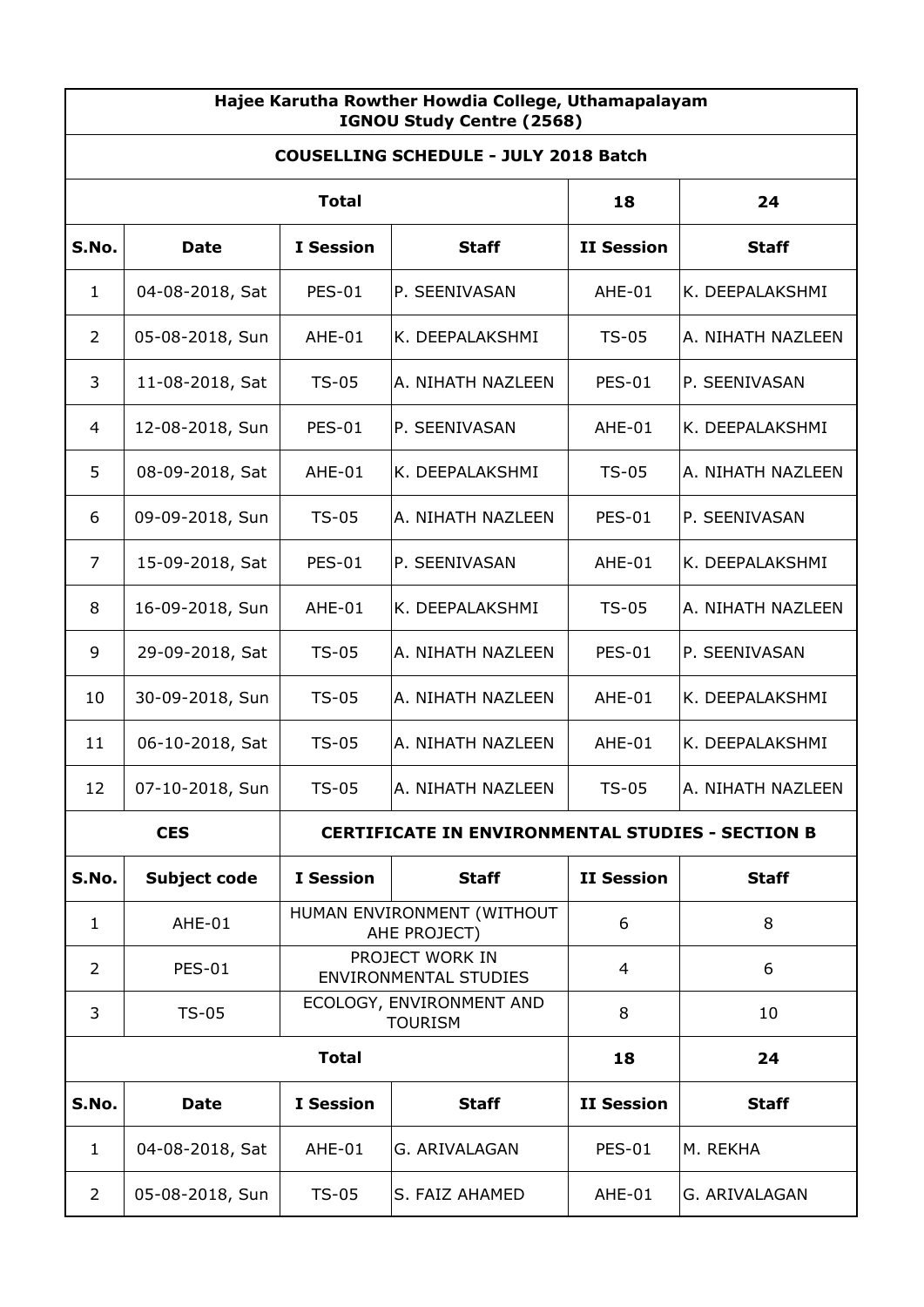| Hajee Karutha Rowther Howdia College, Uthamapalayam<br>IGNOU Study Centre (2568) |                     |                  |                                                         |                   |                   |  |
|----------------------------------------------------------------------------------|---------------------|------------------|---------------------------------------------------------|-------------------|-------------------|--|
| <b>COUSELLING SCHEDULE - JULY 2018 Batch</b>                                     |                     |                  |                                                         |                   |                   |  |
|                                                                                  |                     | 18               | 24                                                      |                   |                   |  |
| S.No.                                                                            | <b>Date</b>         | <b>I</b> Session | <b>Staff</b>                                            | <b>II Session</b> | <b>Staff</b>      |  |
| $\mathbf{1}$                                                                     | 04-08-2018, Sat     | <b>PES-01</b>    | P. SEENIVASAN                                           | $AHE-01$          | K. DEEPALAKSHMI   |  |
| $\overline{2}$                                                                   | 05-08-2018, Sun     | AHE-01           | K. DEEPALAKSHMI                                         | $TS-05$           | A. NIHATH NAZLEEN |  |
| 3                                                                                | 11-08-2018, Sat     | $TS-05$          | A. NIHATH NAZLEEN                                       | <b>PES-01</b>     | P. SEENIVASAN     |  |
| 4                                                                                | 12-08-2018, Sun     | <b>PES-01</b>    | P. SEENIVASAN                                           | AHE-01            | K. DEEPALAKSHMI   |  |
| 5                                                                                | 08-09-2018, Sat     | AHE-01           | K. DEEPALAKSHMI                                         | $TS-05$           | A. NIHATH NAZLEEN |  |
| 6                                                                                | 09-09-2018, Sun     | $TS-05$          | A. NIHATH NAZLEEN                                       | <b>PES-01</b>     | P. SEENIVASAN     |  |
| 7                                                                                | 15-09-2018, Sat     | <b>PES-01</b>    | P. SEENIVASAN                                           | AHE-01            | K. DEEPALAKSHMI   |  |
| 8                                                                                | 16-09-2018, Sun     | AHE-01           | K. DEEPALAKSHMI                                         | $TS-05$           | A. NIHATH NAZLEEN |  |
| 9                                                                                | 29-09-2018, Sat     | <b>TS-05</b>     | A. NIHATH NAZLEEN                                       | <b>PES-01</b>     | P. SEENIVASAN     |  |
| 10                                                                               | 30-09-2018, Sun     | <b>TS-05</b>     | A. NIHATH NAZLEEN                                       | AHE-01            | K. DEEPALAKSHMI   |  |
| 11                                                                               | 06-10-2018, Sat     | $TS-05$          | A. NIHATH NAZLEEN                                       | AHE-01            | K. DEEPALAKSHMI   |  |
| 12                                                                               | 07-10-2018, Sun     | $TS-05$          | A. NIHATH NAZLEEN                                       | $TS-05$           | A. NIHATH NAZLEEN |  |
|                                                                                  | <b>CES</b>          |                  | <b>CERTIFICATE IN ENVIRONMENTAL STUDIES - SECTION B</b> |                   |                   |  |
| S.No.                                                                            | <b>Subject code</b> | <b>I</b> Session | <b>Staff</b>                                            | <b>II Session</b> | <b>Staff</b>      |  |
| $\mathbf{1}$                                                                     | AHE-01              |                  | HUMAN ENVIRONMENT (WITHOUT<br>AHE PROJECT)              | 6                 | 8                 |  |
| $\overline{2}$                                                                   | <b>PES-01</b>       |                  | PROJECT WORK IN<br><b>ENVIRONMENTAL STUDIES</b>         | 4                 | 6                 |  |
| 3                                                                                | $TS-05$             |                  | ECOLOGY, ENVIRONMENT AND<br><b>TOURISM</b>              | 8                 | 10                |  |
| <b>Total</b><br>18                                                               |                     |                  |                                                         |                   | 24                |  |
| S.No.                                                                            | <b>Date</b>         | <b>I</b> Session | <b>Staff</b>                                            | <b>II Session</b> | <b>Staff</b>      |  |
| $\mathbf{1}$                                                                     | 04-08-2018, Sat     | AHE-01           | G. ARIVALAGAN                                           | <b>PES-01</b>     | M. REKHA          |  |
| $\overline{2}$                                                                   | 05-08-2018, Sun     | $TS-05$          | S. FAIZ AHAMED                                          | AHE-01            | G. ARIVALAGAN     |  |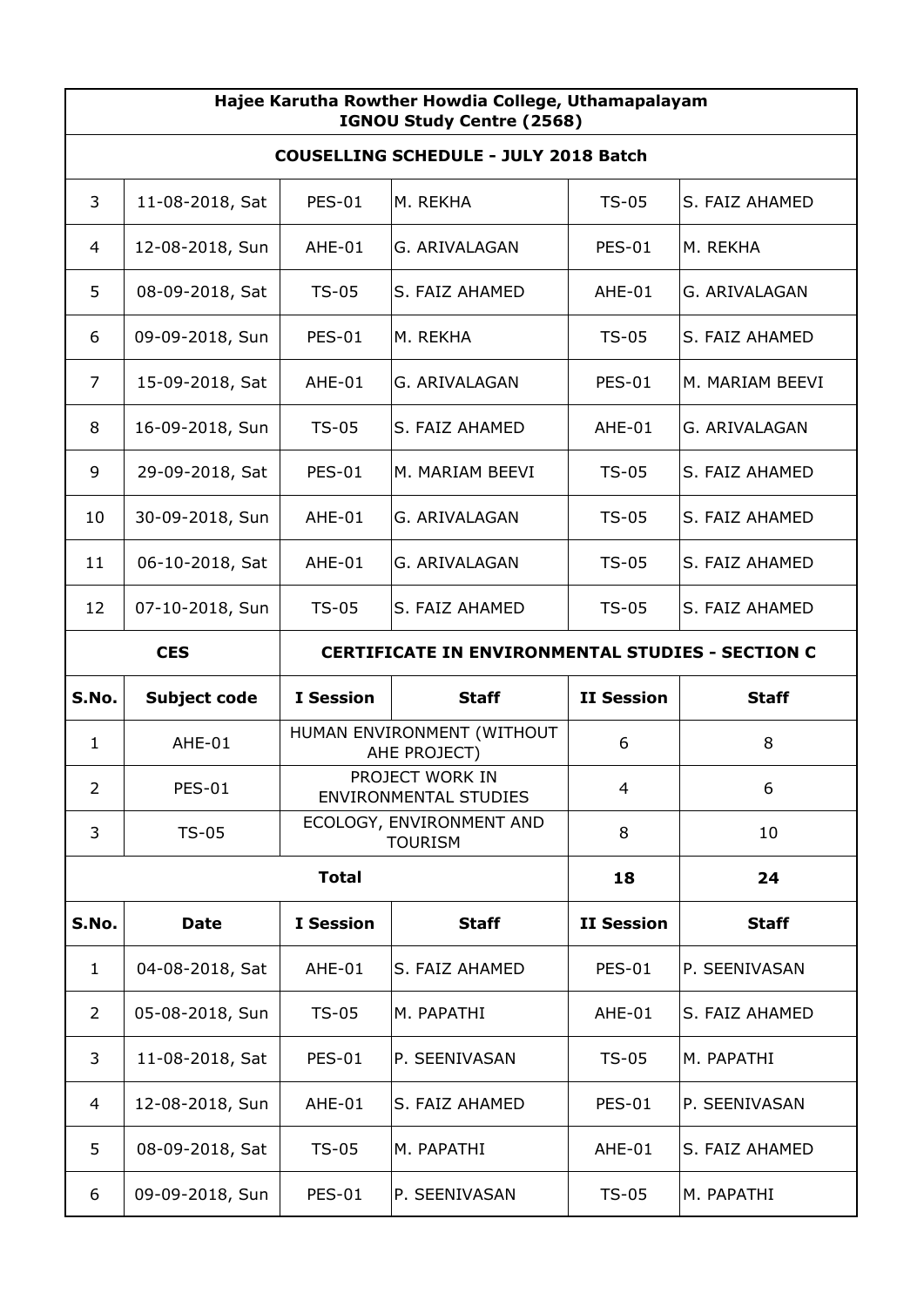| Hajee Karutha Rowther Howdia College, Uthamapalayam<br>IGNOU Study Centre (2568) |                                                                       |                  |                                                 |                   |                 |  |
|----------------------------------------------------------------------------------|-----------------------------------------------------------------------|------------------|-------------------------------------------------|-------------------|-----------------|--|
| <b>COUSELLING SCHEDULE - JULY 2018 Batch</b>                                     |                                                                       |                  |                                                 |                   |                 |  |
| 3                                                                                | 11-08-2018, Sat                                                       | <b>PES-01</b>    | M. REKHA                                        | $TS-05$           | S. FAIZ AHAMED  |  |
| 4                                                                                | 12-08-2018, Sun                                                       | AHE-01           | G. ARIVALAGAN                                   | <b>PES-01</b>     | M. REKHA        |  |
| 5                                                                                | 08-09-2018, Sat                                                       | $TS-05$          | S. FAIZ AHAMED                                  | AHE-01            | G. ARIVALAGAN   |  |
| 6                                                                                | 09-09-2018, Sun                                                       | <b>PES-01</b>    | M. REKHA                                        | $TS-05$           | S. FAIZ AHAMED  |  |
| 7                                                                                | 15-09-2018, Sat                                                       | AHE-01           | G. ARIVALAGAN                                   | <b>PES-01</b>     | M. MARIAM BEEVI |  |
| 8                                                                                | 16-09-2018, Sun                                                       | $TS-05$          | S. FAIZ AHAMED                                  | AHE-01            | G. ARIVALAGAN   |  |
| 9                                                                                | 29-09-2018, Sat                                                       | <b>PES-01</b>    | M. MARIAM BEEVI                                 | $TS-05$           | S. FAIZ AHAMED  |  |
| 10                                                                               | 30-09-2018, Sun                                                       | AHE-01           | G. ARIVALAGAN                                   | $TS-05$           | S. FAIZ AHAMED  |  |
| 11                                                                               | 06-10-2018, Sat                                                       | AHE-01           | G. ARIVALAGAN                                   | $TS-05$           | S. FAIZ AHAMED  |  |
| 12                                                                               | 07-10-2018, Sun                                                       | $TS-05$          | S. FAIZ AHAMED                                  | $TS-05$           | S. FAIZ AHAMED  |  |
|                                                                                  | <b>CES</b><br><b>CERTIFICATE IN ENVIRONMENTAL STUDIES - SECTION C</b> |                  |                                                 |                   |                 |  |
| S.No.                                                                            | Subject code                                                          | <b>I</b> Session | <b>Staff</b>                                    | <b>II Session</b> | <b>Staff</b>    |  |
| 1                                                                                | AHE-01                                                                |                  | HUMAN ENVIRONMENT (WITHOUT                      | 6                 | 8               |  |
| $\overline{2}$                                                                   |                                                                       |                  | AHE PROJECT)                                    |                   |                 |  |
|                                                                                  | <b>PES-01</b>                                                         |                  | PROJECT WORK IN<br><b>ENVIRONMENTAL STUDIES</b> | $\overline{4}$    | 6               |  |
| 3                                                                                | $TS-05$                                                               |                  | ECOLOGY, ENVIRONMENT AND<br><b>TOURISM</b>      | 8                 | 10              |  |
|                                                                                  |                                                                       | <b>Total</b>     |                                                 | 18                | 24              |  |
| S.No.                                                                            | <b>Date</b>                                                           | <b>I</b> Session | <b>Staff</b>                                    | <b>II Session</b> | <b>Staff</b>    |  |
| 1                                                                                | 04-08-2018, Sat                                                       | AHE-01           | S. FAIZ AHAMED                                  | <b>PES-01</b>     | P. SEENIVASAN   |  |
| 2                                                                                | 05-08-2018, Sun                                                       | $TS-05$          | M. PAPATHI                                      | AHE-01            | S. FAIZ AHAMED  |  |
| 3                                                                                | 11-08-2018, Sat                                                       | <b>PES-01</b>    | P. SEENIVASAN                                   | $TS-05$           | M. PAPATHI      |  |
| 4                                                                                | 12-08-2018, Sun                                                       | AHE-01           | S. FAIZ AHAMED                                  | <b>PES-01</b>     | P. SEENIVASAN   |  |
| 5                                                                                | 08-09-2018, Sat                                                       | $TS-05$          | M. PAPATHI                                      | AHE-01            | S. FAIZ AHAMED  |  |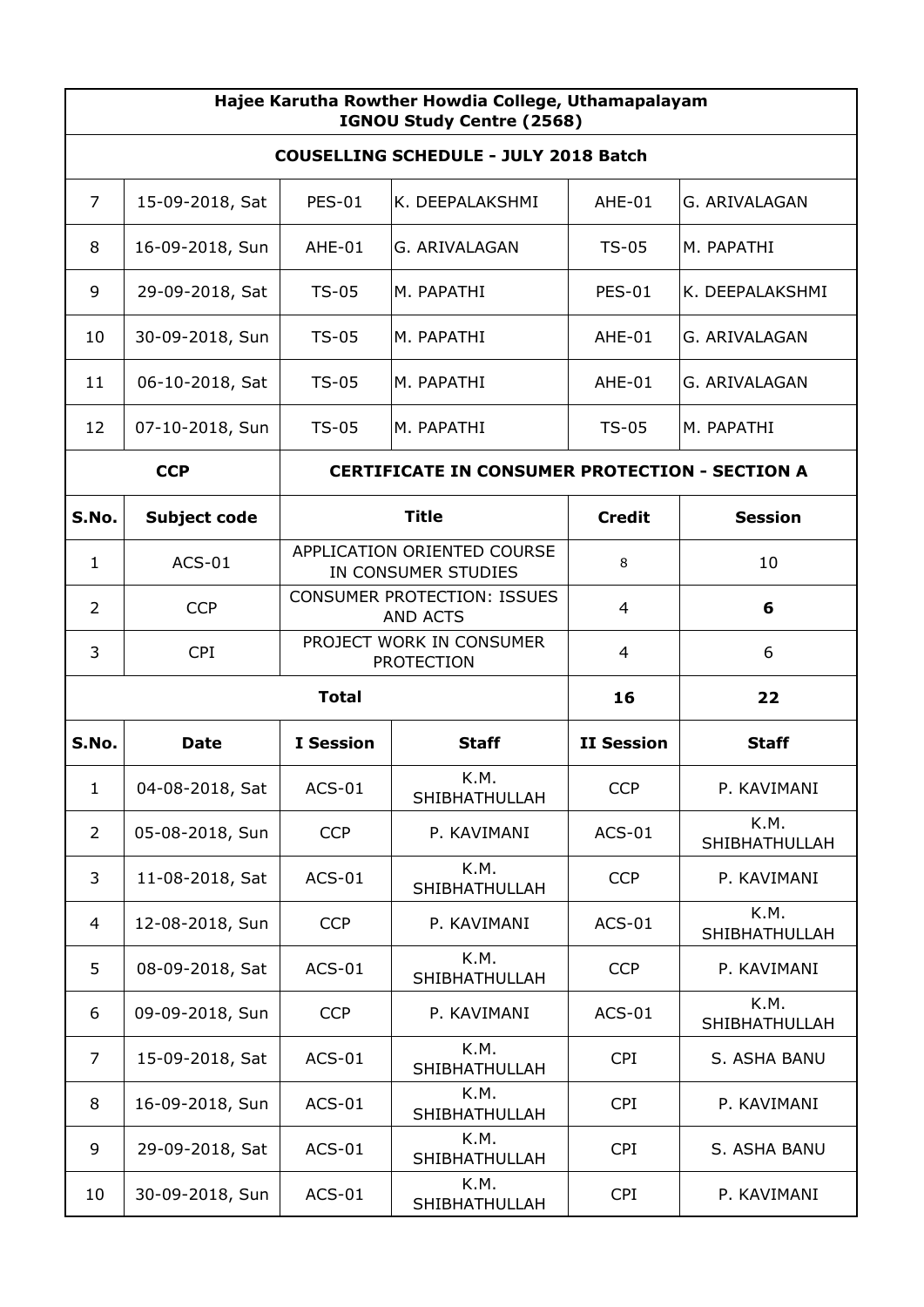| Hajee Karutha Rowther Howdia College, Uthamapalayam<br>IGNOU Study Centre (2568) |                                     |                  |                                                       |                   |                       |  |  |
|----------------------------------------------------------------------------------|-------------------------------------|------------------|-------------------------------------------------------|-------------------|-----------------------|--|--|
| <b>COUSELLING SCHEDULE - JULY 2018 Batch</b>                                     |                                     |                  |                                                       |                   |                       |  |  |
| 7                                                                                | 15-09-2018, Sat                     | <b>PES-01</b>    | K. DEEPALAKSHMI                                       | AHE-01            | G. ARIVALAGAN         |  |  |
| 8                                                                                | 16-09-2018, Sun                     | AHE-01           | G. ARIVALAGAN                                         | $TS-05$           | M. PAPATHI            |  |  |
| 9                                                                                | 29-09-2018, Sat                     | $TS-05$          | M. PAPATHI                                            | <b>PES-01</b>     | K. DEEPALAKSHMI       |  |  |
| 10                                                                               | 30-09-2018, Sun                     | <b>TS-05</b>     | M. PAPATHI                                            | AHE-01            | G. ARIVALAGAN         |  |  |
| 11                                                                               | 06-10-2018, Sat                     | $TS-05$          | M. PAPATHI                                            | AHE-01            | G. ARIVALAGAN         |  |  |
| 12                                                                               | 07-10-2018, Sun                     | $TS-05$          | M. PAPATHI                                            | $TS-05$           | M. PAPATHI            |  |  |
|                                                                                  | <b>CCP</b>                          |                  | <b>CERTIFICATE IN CONSUMER PROTECTION - SECTION A</b> |                   |                       |  |  |
| S.No.                                                                            | <b>Title</b><br><b>Subject code</b> |                  |                                                       |                   | <b>Session</b>        |  |  |
| $\mathbf{1}$                                                                     | $ACS-01$                            |                  | APPLICATION ORIENTED COURSE<br>IN CONSUMER STUDIES    | 8                 | 10                    |  |  |
| $\overline{2}$                                                                   | <b>CCP</b>                          |                  | CONSUMER PROTECTION: ISSUES<br><b>AND ACTS</b>        | 4                 | 6                     |  |  |
| 3                                                                                | <b>CPI</b>                          |                  | PROJECT WORK IN CONSUMER<br><b>PROTECTION</b>         | 4                 | 6                     |  |  |
| <b>Total</b>                                                                     |                                     |                  | 16                                                    | 22                |                       |  |  |
| S.No.                                                                            | <b>Date</b>                         | <b>I</b> Session | <b>Staff</b>                                          | <b>II Session</b> | <b>Staff</b>          |  |  |
| $\mathbf{1}$                                                                     | 04-08-2018, Sat                     | $ACS-01$         | K.M.<br>SHIBHATHULLAH                                 | <b>CCP</b>        | P. KAVIMANI           |  |  |
| $\overline{2}$                                                                   | 05-08-2018, Sun                     | <b>CCP</b>       | P. KAVIMANI                                           | $ACS-01$          | K.M.<br>SHIBHATHULLAH |  |  |
| 3                                                                                | 11-08-2018, Sat                     | $ACS-01$         | K.M.<br>SHIBHATHULLAH                                 | <b>CCP</b>        | P. KAVIMANI           |  |  |
| 4                                                                                | 12-08-2018, Sun                     | <b>CCP</b>       | P. KAVIMANI                                           | $ACS-01$          | K.M.<br>SHIBHATHULLAH |  |  |
| 5                                                                                | 08-09-2018, Sat                     | $ACS-01$         | K.M.<br>SHIBHATHULLAH                                 | <b>CCP</b>        | P. KAVIMANI           |  |  |
| 6                                                                                | 09-09-2018, Sun                     | <b>CCP</b>       | P. KAVIMANI                                           | $ACS-01$          | K.M.<br>SHIBHATHULLAH |  |  |
| 7                                                                                | 15-09-2018, Sat                     | $ACS-01$         | K.M.<br>SHIBHATHULLAH                                 | <b>CPI</b>        | S. ASHA BANU          |  |  |
| 8                                                                                | 16-09-2018, Sun                     | $ACS-01$         | K.M.<br>SHIBHATHULLAH                                 | <b>CPI</b>        | P. KAVIMANI           |  |  |
| 9                                                                                | 29-09-2018, Sat                     | $ACS-01$         | K.M.<br>SHIBHATHULLAH                                 | <b>CPI</b>        | S. ASHA BANU          |  |  |
| 10                                                                               | 30-09-2018, Sun                     | $ACS-01$         | K.M.<br>SHIBHATHULLAH                                 | <b>CPI</b>        | P. KAVIMANI           |  |  |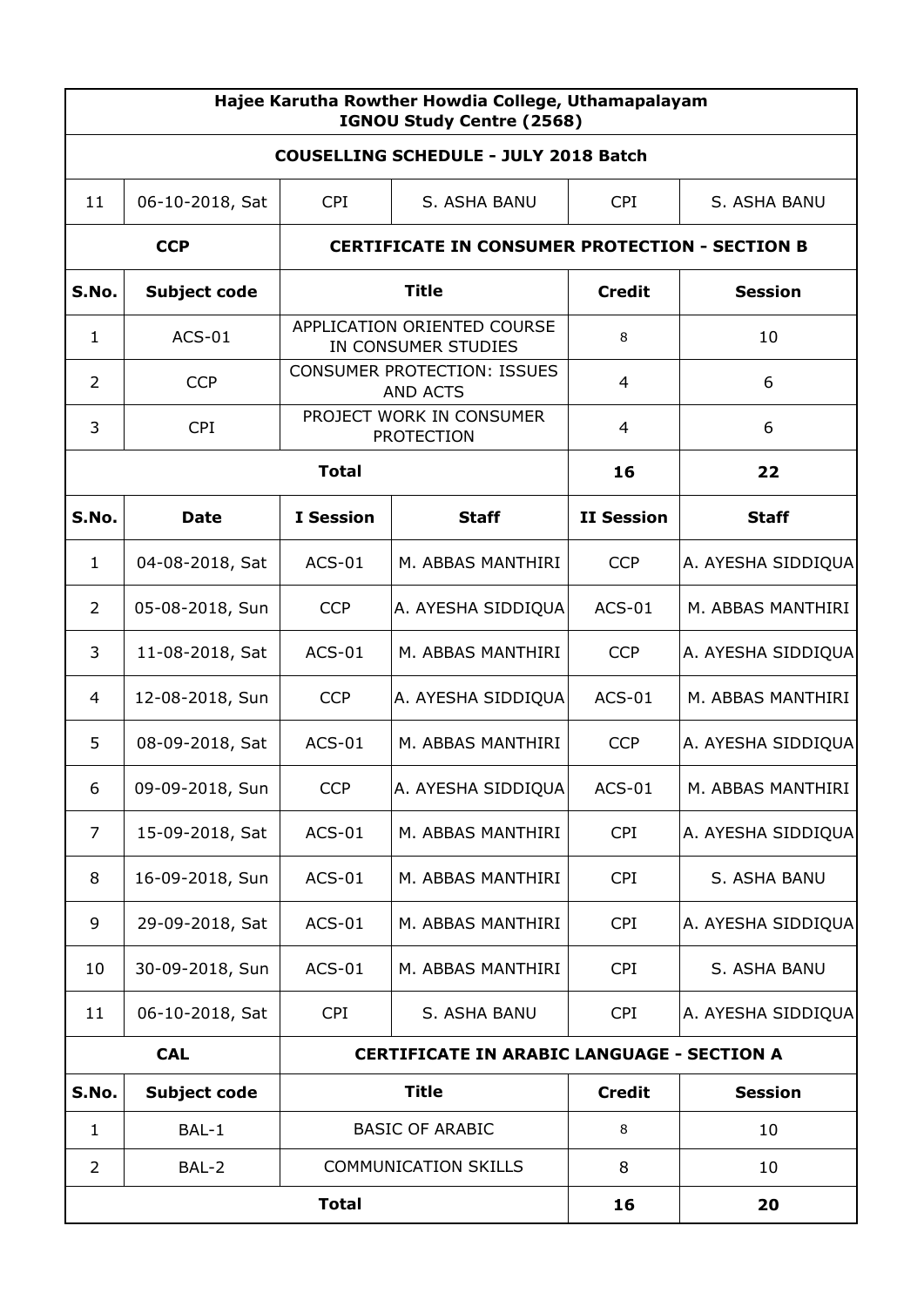| Hajee Karutha Rowther Howdia College, Uthamapalayam<br>IGNOU Study Centre (2568) |                     |                                                   |                                                       |                   |                    |  |  |
|----------------------------------------------------------------------------------|---------------------|---------------------------------------------------|-------------------------------------------------------|-------------------|--------------------|--|--|
| <b>COUSELLING SCHEDULE - JULY 2018 Batch</b>                                     |                     |                                                   |                                                       |                   |                    |  |  |
| 11                                                                               | 06-10-2018, Sat     | <b>CPI</b>                                        | S. ASHA BANU                                          |                   |                    |  |  |
|                                                                                  | <b>CCP</b>          |                                                   | <b>CERTIFICATE IN CONSUMER PROTECTION - SECTION B</b> |                   |                    |  |  |
| S.No.                                                                            | <b>Subject code</b> |                                                   | <b>Title</b>                                          | <b>Credit</b>     | <b>Session</b>     |  |  |
| $\mathbf{1}$                                                                     | $ACS-01$            |                                                   | APPLICATION ORIENTED COURSE<br>IN CONSUMER STUDIES    | 8                 | 10                 |  |  |
| $\overline{2}$                                                                   | <b>CCP</b>          |                                                   | <b>CONSUMER PROTECTION: ISSUES</b><br><b>AND ACTS</b> | 4                 | 6                  |  |  |
| 3                                                                                | <b>CPI</b>          |                                                   | PROJECT WORK IN CONSUMER<br><b>PROTECTION</b>         | 4                 | 6                  |  |  |
|                                                                                  |                     | <b>Total</b>                                      |                                                       | 16                | 22                 |  |  |
| S.No.                                                                            | <b>Date</b>         | <b>I</b> Session                                  | <b>Staff</b>                                          | <b>II Session</b> | <b>Staff</b>       |  |  |
| $\mathbf{1}$                                                                     | 04-08-2018, Sat     | $ACS-01$                                          | M. ABBAS MANTHIRI                                     | <b>CCP</b>        | A. AYESHA SIDDIQUA |  |  |
| 2                                                                                | 05-08-2018, Sun     | <b>CCP</b>                                        | A. AYESHA SIDDIQUA                                    | $ACS-01$          | M. ABBAS MANTHIRI  |  |  |
| 3                                                                                | 11-08-2018, Sat     | $ACS-01$                                          | M. ABBAS MANTHIRI                                     | CCP               | A. AYESHA SIDDIQUA |  |  |
| 4                                                                                | 12-08-2018, Sun     | <b>CCP</b>                                        | A. AYESHA SIDDIQUA                                    | $ACS-01$          | M. ABBAS MANTHIRI  |  |  |
| 5                                                                                | 08-09-2018, Sat     | $ACS-01$                                          | M. ABBAS MANTHIRI                                     | <b>CCP</b>        | A. AYESHA SIDDIQUA |  |  |
| 6                                                                                | 09-09-2018, Sun     | <b>CCP</b>                                        | A. AYESHA SIDDIQUA                                    | $ACS-01$          | M. ABBAS MANTHIRI  |  |  |
| 7                                                                                | 15-09-2018, Sat     | $ACS-01$                                          | M. ABBAS MANTHIRI                                     | <b>CPI</b>        | A. AYESHA SIDDIQUA |  |  |
| 8                                                                                | 16-09-2018, Sun     | $ACS-01$                                          | M. ABBAS MANTHIRI                                     | <b>CPI</b>        | S. ASHA BANU       |  |  |
| 9                                                                                | 29-09-2018, Sat     | $ACS-01$                                          | M. ABBAS MANTHIRI                                     | <b>CPI</b>        | A. AYESHA SIDDIQUA |  |  |
| 10                                                                               | 30-09-2018, Sun     | $ACS-01$                                          | M. ABBAS MANTHIRI                                     | <b>CPI</b>        | S. ASHA BANU       |  |  |
| 11                                                                               | 06-10-2018, Sat     | <b>CPI</b>                                        | S. ASHA BANU                                          | <b>CPI</b>        | A. AYESHA SIDDIQUA |  |  |
|                                                                                  | <b>CAL</b>          | <b>CERTIFICATE IN ARABIC LANGUAGE - SECTION A</b> |                                                       |                   |                    |  |  |
| S.No.                                                                            | Subject code        |                                                   | <b>Title</b>                                          | <b>Credit</b>     | <b>Session</b>     |  |  |
| $\mathbf{1}$                                                                     | BAL-1               |                                                   | <b>BASIC OF ARABIC</b>                                | 8                 | 10                 |  |  |
| $\overline{2}$                                                                   | BAL-2               |                                                   | <b>COMMUNICATION SKILLS</b>                           | 8                 | 10                 |  |  |
| <b>Total</b>                                                                     |                     |                                                   |                                                       | 16                | 20                 |  |  |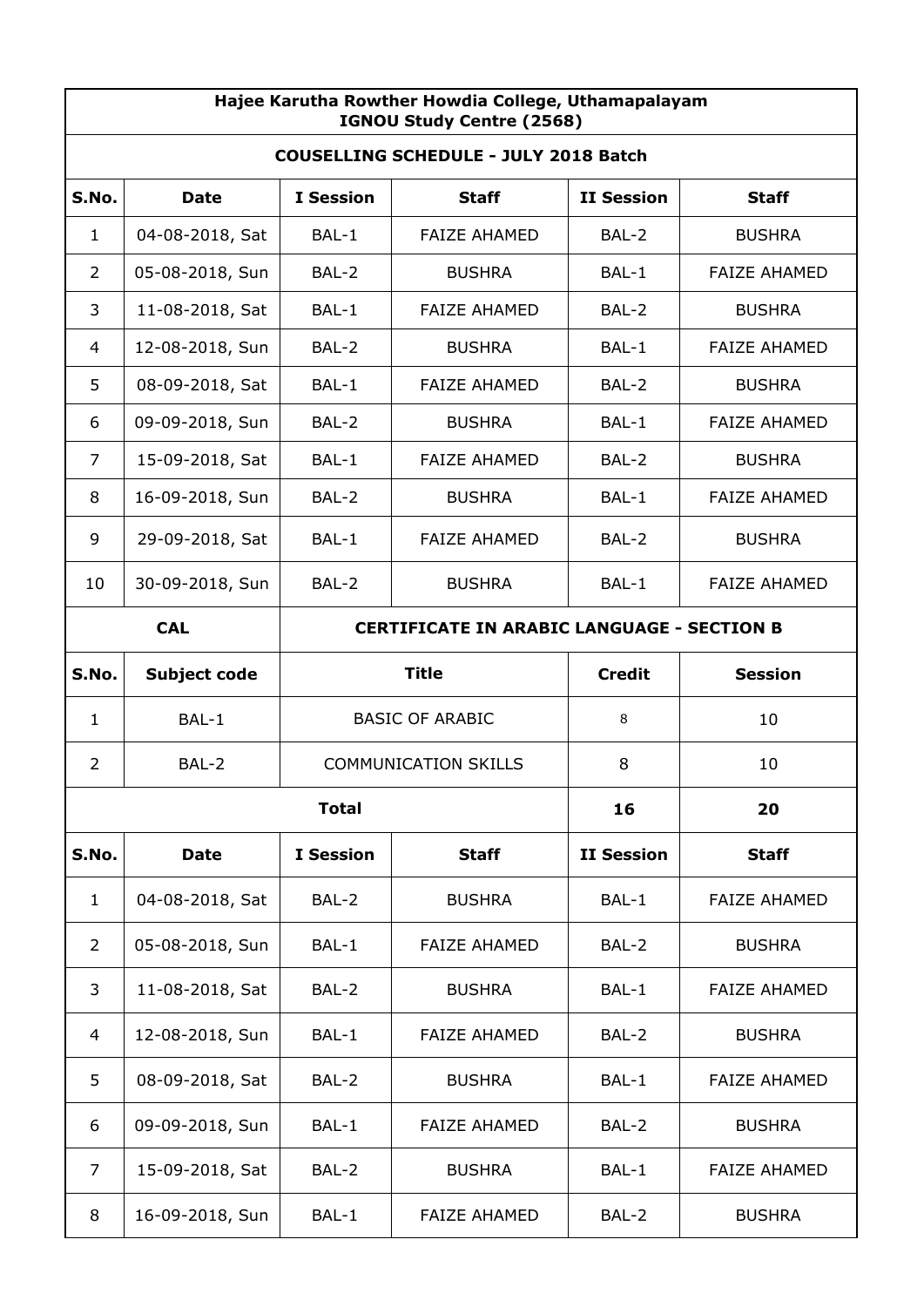| Hajee Karutha Rowther Howdia College, Uthamapalayam<br>IGNOU Study Centre (2568) |                                                                 |                  |                             |                   |                     |  |  |
|----------------------------------------------------------------------------------|-----------------------------------------------------------------|------------------|-----------------------------|-------------------|---------------------|--|--|
| <b>COUSELLING SCHEDULE - JULY 2018 Batch</b>                                     |                                                                 |                  |                             |                   |                     |  |  |
| S.No.                                                                            | <b>Date</b>                                                     | <b>I</b> Session | <b>Staff</b>                | <b>II Session</b> | <b>Staff</b>        |  |  |
| 1                                                                                | 04-08-2018, Sat                                                 | BAL-1            | <b>FAIZE AHAMED</b>         | BAL-2             | <b>BUSHRA</b>       |  |  |
| $\overline{2}$                                                                   | 05-08-2018, Sun                                                 | BAL-2            | <b>BUSHRA</b>               | BAL-1             | <b>FAIZE AHAMED</b> |  |  |
| 3                                                                                | 11-08-2018, Sat                                                 | BAL-1            | <b>FAIZE AHAMED</b>         | BAL-2             | <b>BUSHRA</b>       |  |  |
| 4                                                                                | 12-08-2018, Sun                                                 | BAL-2            | <b>BUSHRA</b>               | BAL-1             | <b>FAIZE AHAMED</b> |  |  |
| 5                                                                                | 08-09-2018, Sat                                                 | BAL-1            | <b>FAIZE AHAMED</b>         | BAL-2             | <b>BUSHRA</b>       |  |  |
| 6                                                                                | 09-09-2018, Sun                                                 | BAL-2            | <b>BUSHRA</b>               | BAL-1             | <b>FAIZE AHAMED</b> |  |  |
| 7                                                                                | 15-09-2018, Sat                                                 | BAL-1            | <b>FAIZE AHAMED</b>         | BAL-2             | <b>BUSHRA</b>       |  |  |
| 8                                                                                | 16-09-2018, Sun                                                 | BAL-2            | <b>BUSHRA</b>               | BAL-1             | <b>FAIZE AHAMED</b> |  |  |
| 9                                                                                | 29-09-2018, Sat                                                 | BAL-1            | <b>FAIZE AHAMED</b>         | BAL-2             | <b>BUSHRA</b>       |  |  |
| 10                                                                               | 30-09-2018, Sun                                                 | BAL-2            | <b>BUSHRA</b>               | BAL-1             | <b>FAIZE AHAMED</b> |  |  |
|                                                                                  | <b>CAL</b><br><b>CERTIFICATE IN ARABIC LANGUAGE - SECTION B</b> |                  |                             |                   |                     |  |  |
| S.No.                                                                            | <b>Title</b><br><b>Subject code</b>                             |                  |                             | <b>Credit</b>     | <b>Session</b>      |  |  |
| 1                                                                                | BAL-1                                                           |                  | <b>BASIC OF ARABIC</b>      | 8                 | 10                  |  |  |
| $\overline{2}$                                                                   | BAL-2                                                           |                  | <b>COMMUNICATION SKILLS</b> | 8                 | 10                  |  |  |
|                                                                                  |                                                                 | <b>Total</b>     |                             | 16                | 20                  |  |  |
| S.No.                                                                            | <b>Date</b>                                                     | <b>I</b> Session | <b>Staff</b>                | <b>II Session</b> | <b>Staff</b>        |  |  |
| $\mathbf{1}$                                                                     | 04-08-2018, Sat                                                 | BAL-2            | <b>BUSHRA</b>               | BAL-1             | <b>FAIZE AHAMED</b> |  |  |
| $\overline{2}$                                                                   | 05-08-2018, Sun                                                 | BAL-1            | <b>FAIZE AHAMED</b>         | BAL-2             | <b>BUSHRA</b>       |  |  |
| 3                                                                                | 11-08-2018, Sat                                                 | BAL-2            | <b>BUSHRA</b>               | BAL-1             | <b>FAIZE AHAMED</b> |  |  |
| 4                                                                                | 12-08-2018, Sun                                                 | BAL-1            | <b>FAIZE AHAMED</b>         | BAL-2             | <b>BUSHRA</b>       |  |  |
| 5                                                                                | 08-09-2018, Sat                                                 | BAL-2            | <b>BUSHRA</b>               | BAL-1             | <b>FAIZE AHAMED</b> |  |  |
| 6                                                                                | 09-09-2018, Sun                                                 | BAL-1            | <b>FAIZE AHAMED</b>         | BAL-2             | <b>BUSHRA</b>       |  |  |
| 7                                                                                | 15-09-2018, Sat                                                 | BAL-2            | <b>BUSHRA</b>               | BAL-1             | <b>FAIZE AHAMED</b> |  |  |
| 8                                                                                | 16-09-2018, Sun                                                 | BAL-1            | <b>FAIZE AHAMED</b>         | BAL-2             | <b>BUSHRA</b>       |  |  |